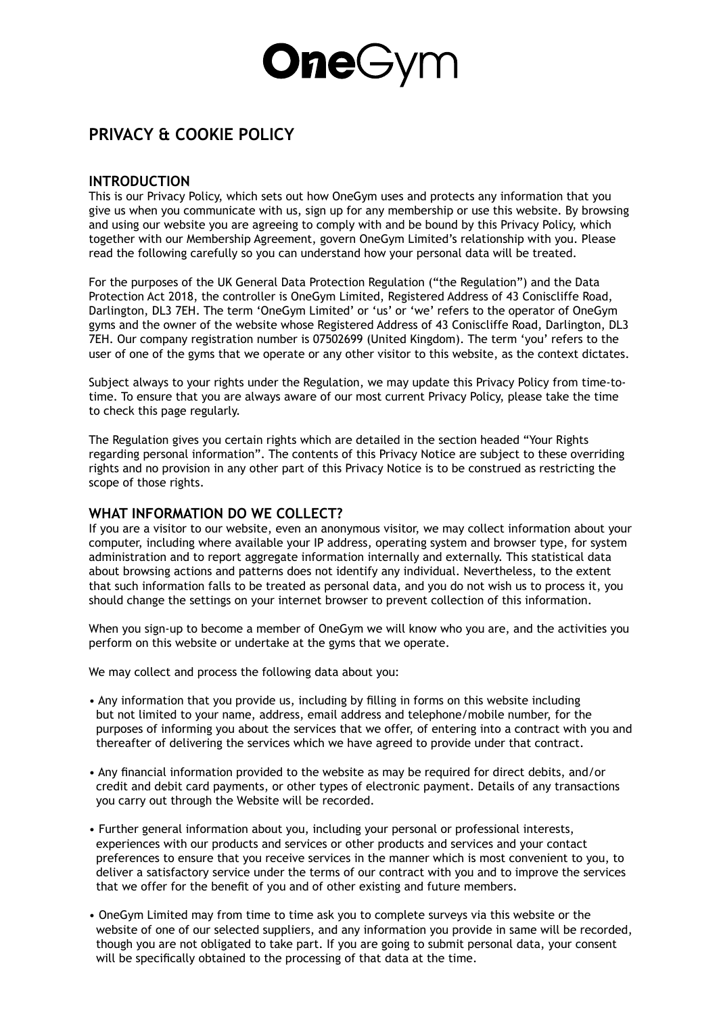# **One**Gym

## **PRIVACY & COOKIE POLICY**

#### **INTRODUCTION**

This is our Privacy Policy, which sets out how OneGym uses and protects any information that you give us when you communicate with us, sign up for any membership or use this website. By browsing and using our website you are agreeing to comply with and be bound by this Privacy Policy, which together with our Membership Agreement, govern OneGym Limited's relationship with you. Please read the following carefully so you can understand how your personal data will be treated.

For the purposes of the UK General Data Protection Regulation ("the Regulation") and the Data Protection Act 2018, the controller is OneGym Limited, Registered Address of 43 Coniscliffe Road, Darlington, DL3 7EH. The term 'OneGym Limited' or 'us' or 'we' refers to the operator of OneGym gyms and the owner of the website whose Registered Address of 43 Coniscliffe Road, Darlington, DL3 7EH. Our company registration number is 07502699 (United Kingdom). The term 'you' refers to the user of one of the gyms that we operate or any other visitor to this website, as the context dictates.

Subject always to your rights under the Regulation, we may update this Privacy Policy from time-totime. To ensure that you are always aware of our most current Privacy Policy, please take the time to check this page regularly.

The Regulation gives you certain rights which are detailed in the section headed "Your Rights regarding personal information". The contents of this Privacy Notice are subject to these overriding rights and no provision in any other part of this Privacy Notice is to be construed as restricting the scope of those rights.

#### **WHAT INFORMATION DO WE COLLECT?**

If you are a visitor to our website, even an anonymous visitor, we may collect information about your computer, including where available your IP address, operating system and browser type, for system administration and to report aggregate information internally and externally. This statistical data about browsing actions and patterns does not identify any individual. Nevertheless, to the extent that such information falls to be treated as personal data, and you do not wish us to process it, you should change the settings on your internet browser to prevent collection of this information.

When you sign-up to become a member of OneGym we will know who you are, and the activities you perform on this website or undertake at the gyms that we operate.

We may collect and process the following data about you:

- Any information that you provide us, including by filling in forms on this website including but not limited to your name, address, email address and telephone/mobile number, for the purposes of informing you about the services that we offer, of entering into a contract with you and thereafter of delivering the services which we have agreed to provide under that contract.
- Any financial information provided to the website as may be required for direct debits, and/or credit and debit card payments, or other types of electronic payment. Details of any transactions you carry out through the Website will be recorded.
- Further general information about you, including your personal or professional interests, experiences with our products and services or other products and services and your contact preferences to ensure that you receive services in the manner which is most convenient to you, to deliver a satisfactory service under the terms of our contract with you and to improve the services that we offer for the benefit of you and of other existing and future members.
- OneGym Limited may from time to time ask you to complete surveys via this website or the website of one of our selected suppliers, and any information you provide in same will be recorded, though you are not obligated to take part. If you are going to submit personal data, your consent will be specifically obtained to the processing of that data at the time.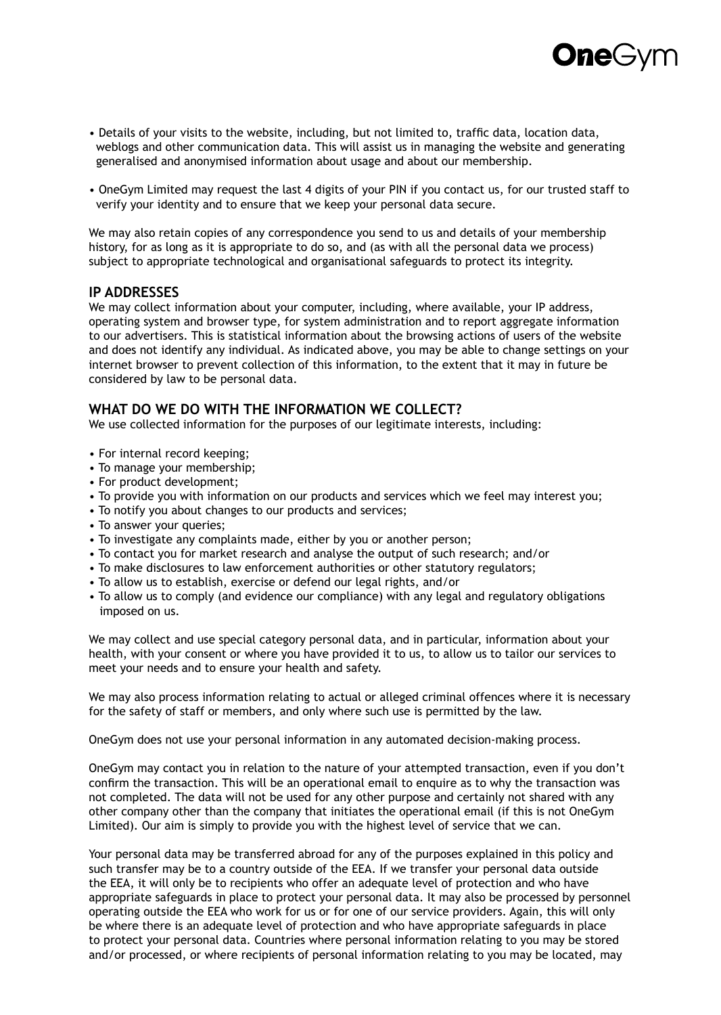

- Details of your visits to the website, including, but not limited to, traffic data, location data, weblogs and other communication data. This will assist us in managing the website and generating generalised and anonymised information about usage and about our membership.
- OneGym Limited may request the last 4 digits of your PIN if you contact us, for our trusted staff to verify your identity and to ensure that we keep your personal data secure.

We may also retain copies of any correspondence you send to us and details of your membership history, for as long as it is appropriate to do so, and (as with all the personal data we process) subject to appropriate technological and organisational safeguards to protect its integrity.

#### **IP ADDRESSES**

We may collect information about your computer, including, where available, your IP address, operating system and browser type, for system administration and to report aggregate information to our advertisers. This is statistical information about the browsing actions of users of the website and does not identify any individual. As indicated above, you may be able to change settings on your internet browser to prevent collection of this information, to the extent that it may in future be considered by law to be personal data.

#### **WHAT DO WE DO WITH THE INFORMATION WE COLLECT?**

We use collected information for the purposes of our legitimate interests, including:

- For internal record keeping;
- To manage your membership;
- For product development;
- To provide you with information on our products and services which we feel may interest you;
- To notify you about changes to our products and services;
- To answer your queries;
- To investigate any complaints made, either by you or another person;
- To contact you for market research and analyse the output of such research; and/or
- To make disclosures to law enforcement authorities or other statutory regulators;
- To allow us to establish, exercise or defend our legal rights, and/or
- To allow us to comply (and evidence our compliance) with any legal and regulatory obligations imposed on us.

We may collect and use special category personal data, and in particular, information about your health, with your consent or where you have provided it to us, to allow us to tailor our services to meet your needs and to ensure your health and safety.

We may also process information relating to actual or alleged criminal offences where it is necessary for the safety of staff or members, and only where such use is permitted by the law.

OneGym does not use your personal information in any automated decision-making process.

OneGym may contact you in relation to the nature of your attempted transaction, even if you don't confirm the transaction. This will be an operational email to enquire as to why the transaction was not completed. The data will not be used for any other purpose and certainly not shared with any other company other than the company that initiates the operational email (if this is not OneGym Limited). Our aim is simply to provide you with the highest level of service that we can.

Your personal data may be transferred abroad for any of the purposes explained in this policy and such transfer may be to a country outside of the EEA. If we transfer your personal data outside the EEA, it will only be to recipients who offer an adequate level of protection and who have appropriate safeguards in place to protect your personal data. It may also be processed by personnel operating outside the EEA who work for us or for one of our service providers. Again, this will only be where there is an adequate level of protection and who have appropriate safeguards in place to protect your personal data. Countries where personal information relating to you may be stored and/or processed, or where recipients of personal information relating to you may be located, may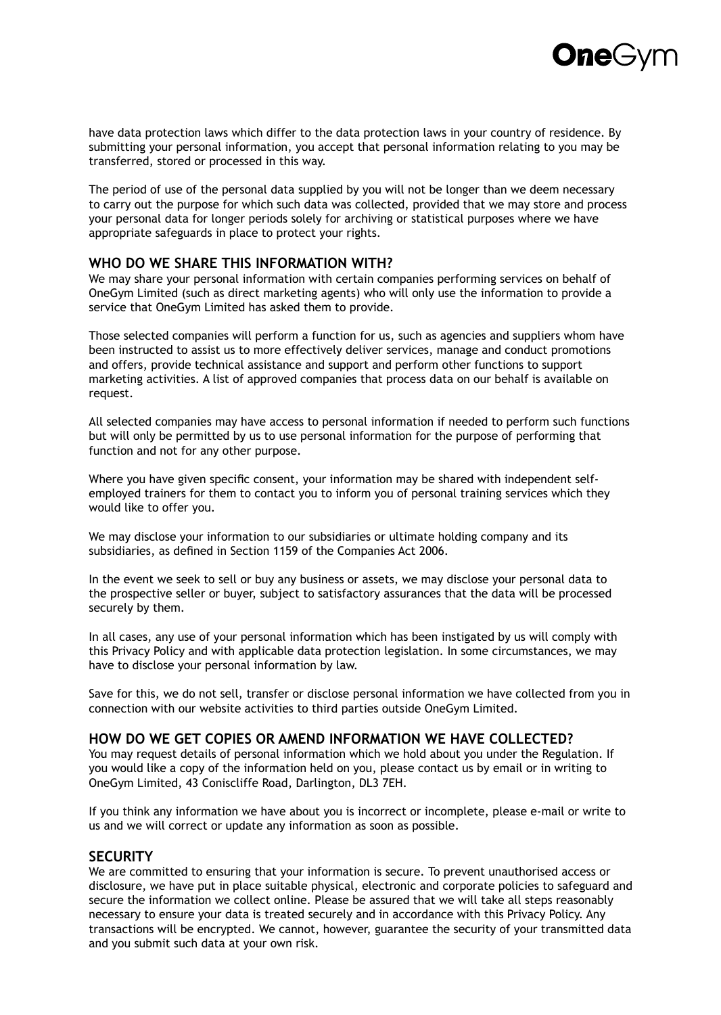**One**G

have data protection laws which differ to the data protection laws in your country of residence. By submitting your personal information, you accept that personal information relating to you may be transferred, stored or processed in this way.

The period of use of the personal data supplied by you will not be longer than we deem necessary to carry out the purpose for which such data was collected, provided that we may store and process your personal data for longer periods solely for archiving or statistical purposes where we have appropriate safeguards in place to protect your rights.

#### **WHO DO WE SHARE THIS INFORMATION WITH?**

We may share your personal information with certain companies performing services on behalf of OneGym Limited (such as direct marketing agents) who will only use the information to provide a service that OneGym Limited has asked them to provide.

Those selected companies will perform a function for us, such as agencies and suppliers whom have been instructed to assist us to more effectively deliver services, manage and conduct promotions and offers, provide technical assistance and support and perform other functions to support marketing activities. A list of approved companies that process data on our behalf is available on request.

All selected companies may have access to personal information if needed to perform such functions but will only be permitted by us to use personal information for the purpose of performing that function and not for any other purpose.

Where you have given specific consent, your information may be shared with independent selfemployed trainers for them to contact you to inform you of personal training services which they would like to offer you.

We may disclose your information to our subsidiaries or ultimate holding company and its subsidiaries, as defined in Section 1159 of the Companies Act 2006.

In the event we seek to sell or buy any business or assets, we may disclose your personal data to the prospective seller or buyer, subject to satisfactory assurances that the data will be processed securely by them.

In all cases, any use of your personal information which has been instigated by us will comply with this Privacy Policy and with applicable data protection legislation. In some circumstances, we may have to disclose your personal information by law.

Save for this, we do not sell, transfer or disclose personal information we have collected from you in connection with our website activities to third parties outside OneGym Limited.

#### **HOW DO WE GET COPIES OR AMEND INFORMATION WE HAVE COLLECTED?**

You may request details of personal information which we hold about you under the Regulation. If you would like a copy of the information held on you, please contact us by email or in writing to OneGym Limited, 43 Coniscliffe Road, Darlington, DL3 7EH.

If you think any information we have about you is incorrect or incomplete, please e-mail or write to us and we will correct or update any information as soon as possible.

#### **SECURITY**

We are committed to ensuring that your information is secure. To prevent unauthorised access or disclosure, we have put in place suitable physical, electronic and corporate policies to safeguard and secure the information we collect online. Please be assured that we will take all steps reasonably necessary to ensure your data is treated securely and in accordance with this Privacy Policy. Any transactions will be encrypted. We cannot, however, guarantee the security of your transmitted data and you submit such data at your own risk.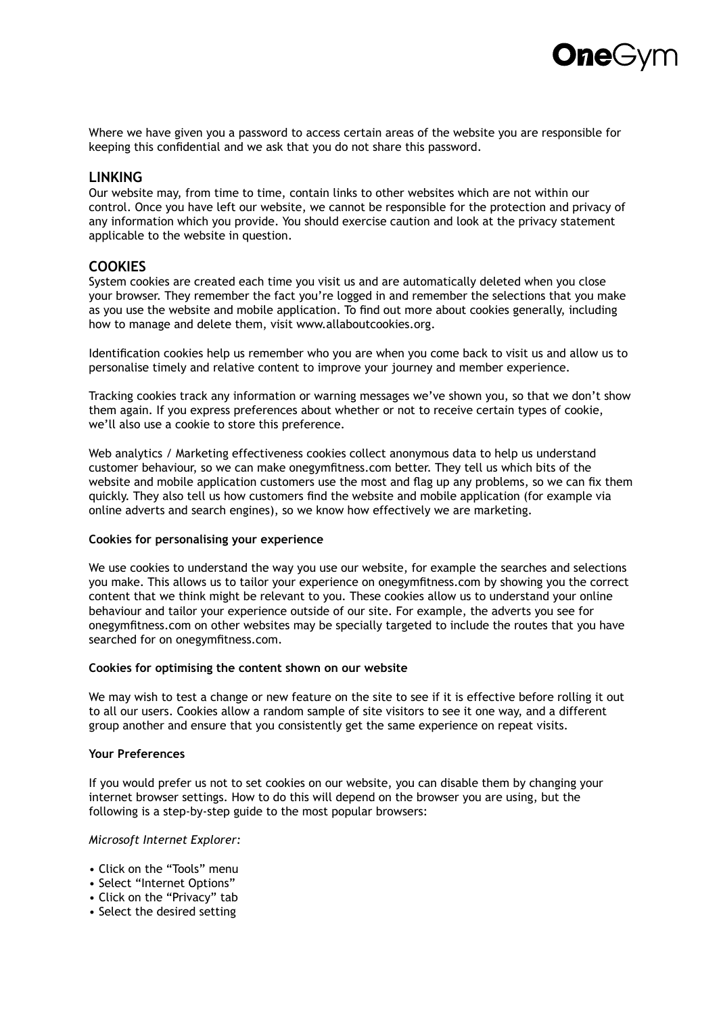

Where we have given you a password to access certain areas of the website you are responsible for keeping this confidential and we ask that you do not share this password.

#### **LINKING**

Our website may, from time to time, contain links to other websites which are not within our control. Once you have left our website, we cannot be responsible for the protection and privacy of any information which you provide. You should exercise caution and look at the privacy statement applicable to the website in question.

#### **COOKIES**

System cookies are created each time you visit us and are automatically deleted when you close your browser. They remember the fact you're logged in and remember the selections that you make as you use the website and mobile application. To find out more about cookies generally, including how to manage and delete them, visit www.allaboutcookies.org.

Identification cookies help us remember who you are when you come back to visit us and allow us to personalise timely and relative content to improve your journey and member experience.

Tracking cookies track any information or warning messages we've shown you, so that we don't show them again. If you express preferences about whether or not to receive certain types of cookie, we'll also use a cookie to store this preference.

Web analytics / Marketing effectiveness cookies collect anonymous data to help us understand customer behaviour, so we can make onegymfitness.com better. They tell us which bits of the website and mobile application customers use the most and flag up any problems, so we can fix them quickly. They also tell us how customers find the website and mobile application (for example via online adverts and search engines), so we know how effectively we are marketing.

#### **Cookies for personalising your experience**

We use cookies to understand the way you use our website, for example the searches and selections you make. This allows us to tailor your experience on onegymfitness.com by showing you the correct content that we think might be relevant to you. These cookies allow us to understand your online behaviour and tailor your experience outside of our site. For example, the adverts you see for onegymfitness.com on other websites may be specially targeted to include the routes that you have searched for on onegymfitness.com.

#### **Cookies for optimising the content shown on our website**

We may wish to test a change or new feature on the site to see if it is effective before rolling it out to all our users. Cookies allow a random sample of site visitors to see it one way, and a different group another and ensure that you consistently get the same experience on repeat visits.

#### **Your Preferences**

If you would prefer us not to set cookies on our website, you can disable them by changing your internet browser settings. How to do this will depend on the browser you are using, but the following is a step-by-step guide to the most popular browsers:

#### *Microsoft Internet Explorer:*

- Click on the "Tools" menu
- Select "Internet Options"
- Click on the "Privacy" tab
- Select the desired setting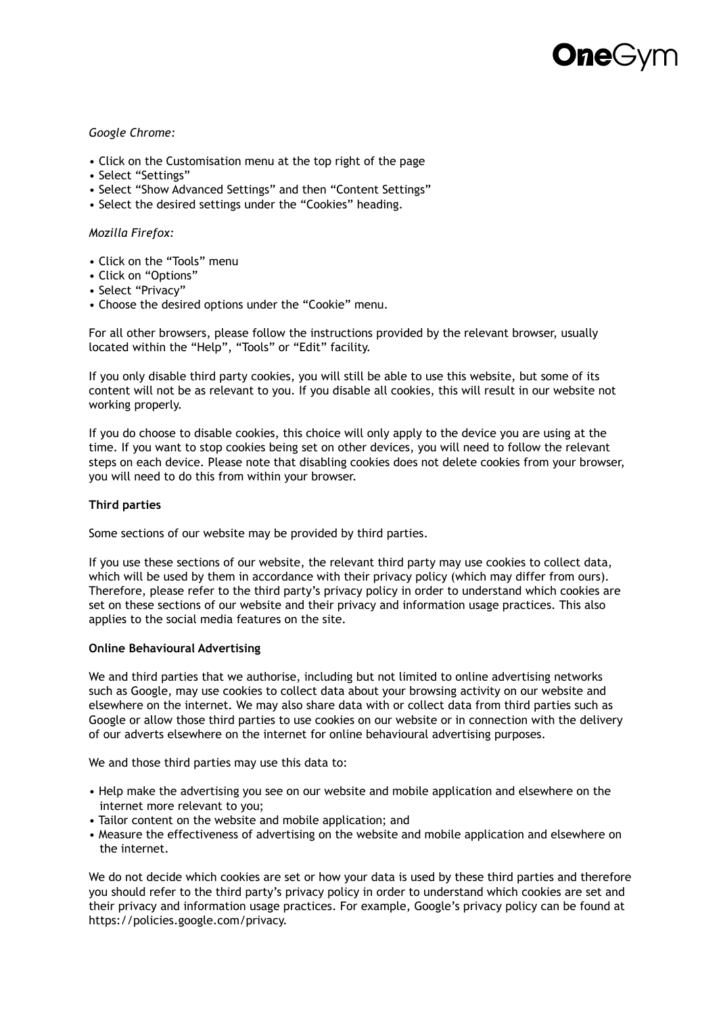#### *Google Chrome:*

- Click on the Customisation menu at the top right of the page
- Select "Settings"
- Select "Show Advanced Settings" and then "Content Settings"
- Select the desired settings under the "Cookies" heading.

#### *Mozilla Firefox:*

- Click on the "Tools" menu
- Click on "Options"
- Select "Privacy"
- Choose the desired options under the "Cookie" menu.

For all other browsers, please follow the instructions provided by the relevant browser, usually located within the "Help", "Tools" or "Edit" facility.

If you only disable third party cookies, you will still be able to use this website, but some of its content will not be as relevant to you. If you disable all cookies, this will result in our website not working properly.

If you do choose to disable cookies, this choice will only apply to the device you are using at the time. If you want to stop cookies being set on other devices, you will need to follow the relevant steps on each device. Please note that disabling cookies does not delete cookies from your browser, you will need to do this from within your browser.

#### **Third parties**

Some sections of our website may be provided by third parties.

If you use these sections of our website, the relevant third party may use cookies to collect data, which will be used by them in accordance with their privacy policy (which may differ from ours). Therefore, please refer to the third party's privacy policy in order to understand which cookies are set on these sections of our website and their privacy and information usage practices. This also applies to the social media features on the site.

#### **Online Behavioural Advertising**

We and third parties that we authorise, including but not limited to online advertising networks such as Google, may use cookies to collect data about your browsing activity on our website and elsewhere on the internet. We may also share data with or collect data from third parties such as Google or allow those third parties to use cookies on our website or in connection with the delivery of our adverts elsewhere on the internet for online behavioural advertising purposes.

We and those third parties may use this data to:

- Help make the advertising you see on our website and mobile application and elsewhere on the internet more relevant to you;
- Tailor content on the website and mobile application; and
- Measure the effectiveness of advertising on the website and mobile application and elsewhere on the internet.

We do not decide which cookies are set or how your data is used by these third parties and therefore you should refer to the third party's privacy policy in order to understand which cookies are set and their privacy and information usage practices. For example, Google's privacy policy can be found at https://policies.google.com/privacy.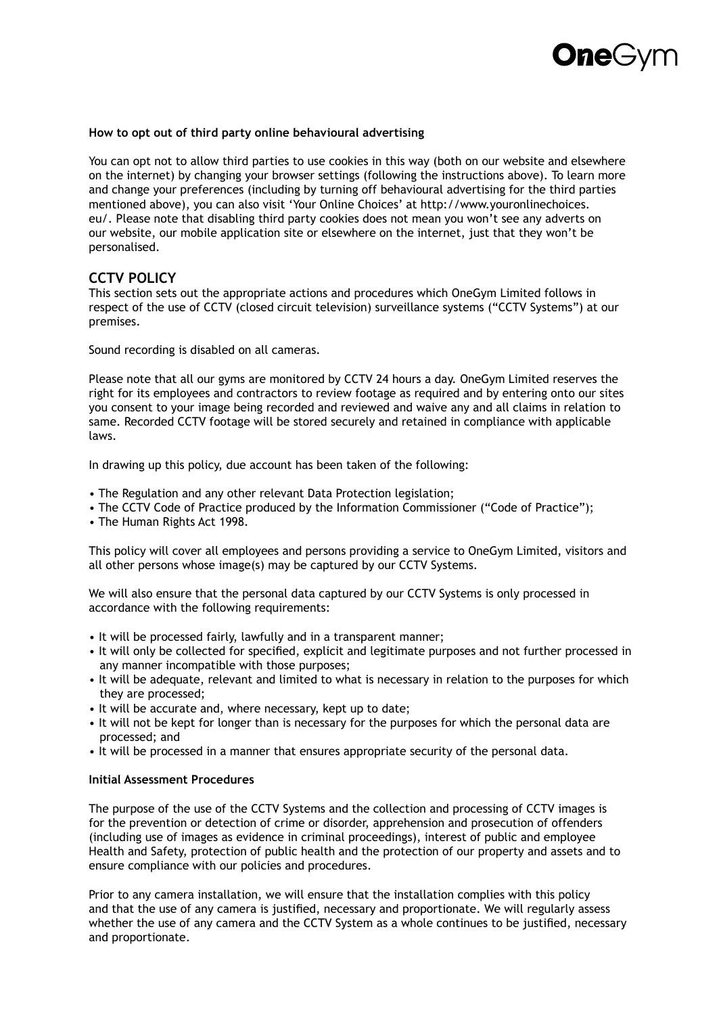#### **How to opt out of third party online behavioural advertising**

You can opt not to allow third parties to use cookies in this way (both on our website and elsewhere on the internet) by changing your browser settings (following the instructions above). To learn more and change your preferences (including by turning off behavioural advertising for the third parties mentioned above), you can also visit 'Your Online Choices' at http://www.youronlinechoices. eu/. Please note that disabling third party cookies does not mean you won't see any adverts on our website, our mobile application site or elsewhere on the internet, just that they won't be personalised.

#### **CCTV POLICY**

This section sets out the appropriate actions and procedures which OneGym Limited follows in respect of the use of CCTV (closed circuit television) surveillance systems ("CCTV Systems") at our premises.

Sound recording is disabled on all cameras.

Please note that all our gyms are monitored by CCTV 24 hours a day. OneGym Limited reserves the right for its employees and contractors to review footage as required and by entering onto our sites you consent to your image being recorded and reviewed and waive any and all claims in relation to same. Recorded CCTV footage will be stored securely and retained in compliance with applicable laws.

In drawing up this policy, due account has been taken of the following:

- The Regulation and any other relevant Data Protection legislation;
- The CCTV Code of Practice produced by the Information Commissioner ("Code of Practice");
- The Human Rights Act 1998.

This policy will cover all employees and persons providing a service to OneGym Limited, visitors and all other persons whose image(s) may be captured by our CCTV Systems.

We will also ensure that the personal data captured by our CCTV Systems is only processed in accordance with the following requirements:

- It will be processed fairly, lawfully and in a transparent manner;
- It will only be collected for specified, explicit and legitimate purposes and not further processed in any manner incompatible with those purposes;
- It will be adequate, relevant and limited to what is necessary in relation to the purposes for which they are processed;
- It will be accurate and, where necessary, kept up to date;
- It will not be kept for longer than is necessary for the purposes for which the personal data are processed; and
- It will be processed in a manner that ensures appropriate security of the personal data.

#### **Initial Assessment Procedures**

The purpose of the use of the CCTV Systems and the collection and processing of CCTV images is for the prevention or detection of crime or disorder, apprehension and prosecution of offenders (including use of images as evidence in criminal proceedings), interest of public and employee Health and Safety, protection of public health and the protection of our property and assets and to ensure compliance with our policies and procedures.

Prior to any camera installation, we will ensure that the installation complies with this policy and that the use of any camera is justified, necessary and proportionate. We will regularly assess whether the use of any camera and the CCTV System as a whole continues to be justified, necessary and proportionate.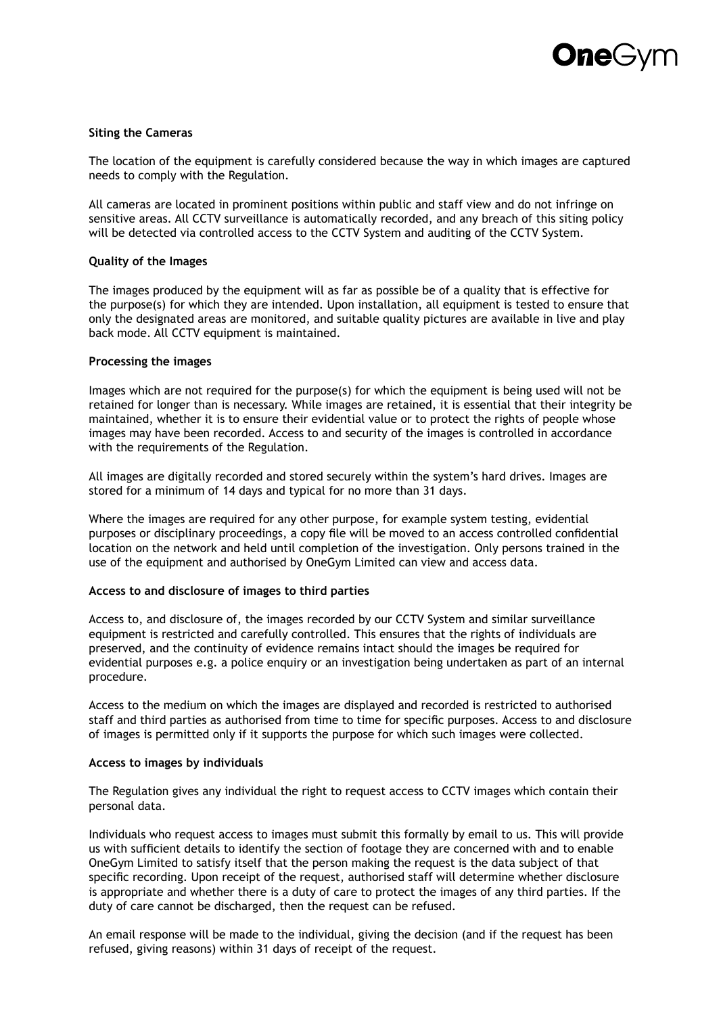

#### **Siting the Cameras**

The location of the equipment is carefully considered because the way in which images are captured needs to comply with the Regulation.

All cameras are located in prominent positions within public and staff view and do not infringe on sensitive areas. All CCTV surveillance is automatically recorded, and any breach of this siting policy will be detected via controlled access to the CCTV System and auditing of the CCTV System.

#### **Quality of the Images**

The images produced by the equipment will as far as possible be of a quality that is effective for the purpose(s) for which they are intended. Upon installation, all equipment is tested to ensure that only the designated areas are monitored, and suitable quality pictures are available in live and play back mode. All CCTV equipment is maintained.

#### **Processing the images**

Images which are not required for the purpose(s) for which the equipment is being used will not be retained for longer than is necessary. While images are retained, it is essential that their integrity be maintained, whether it is to ensure their evidential value or to protect the rights of people whose images may have been recorded. Access to and security of the images is controlled in accordance with the requirements of the Regulation.

All images are digitally recorded and stored securely within the system's hard drives. Images are stored for a minimum of 14 days and typical for no more than 31 days.

Where the images are required for any other purpose, for example system testing, evidential purposes or disciplinary proceedings, a copy file will be moved to an access controlled confidential location on the network and held until completion of the investigation. Only persons trained in the use of the equipment and authorised by OneGym Limited can view and access data.

#### **Access to and disclosure of images to third parties**

Access to, and disclosure of, the images recorded by our CCTV System and similar surveillance equipment is restricted and carefully controlled. This ensures that the rights of individuals are preserved, and the continuity of evidence remains intact should the images be required for evidential purposes e.g. a police enquiry or an investigation being undertaken as part of an internal procedure.

Access to the medium on which the images are displayed and recorded is restricted to authorised staff and third parties as authorised from time to time for specific purposes. Access to and disclosure of images is permitted only if it supports the purpose for which such images were collected.

#### **Access to images by individuals**

The Regulation gives any individual the right to request access to CCTV images which contain their personal data.

Individuals who request access to images must submit this formally by email to us. This will provide us with sufficient details to identify the section of footage they are concerned with and to enable OneGym Limited to satisfy itself that the person making the request is the data subject of that specific recording. Upon receipt of the request, authorised staff will determine whether disclosure is appropriate and whether there is a duty of care to protect the images of any third parties. If the duty of care cannot be discharged, then the request can be refused.

An email response will be made to the individual, giving the decision (and if the request has been refused, giving reasons) within 31 days of receipt of the request.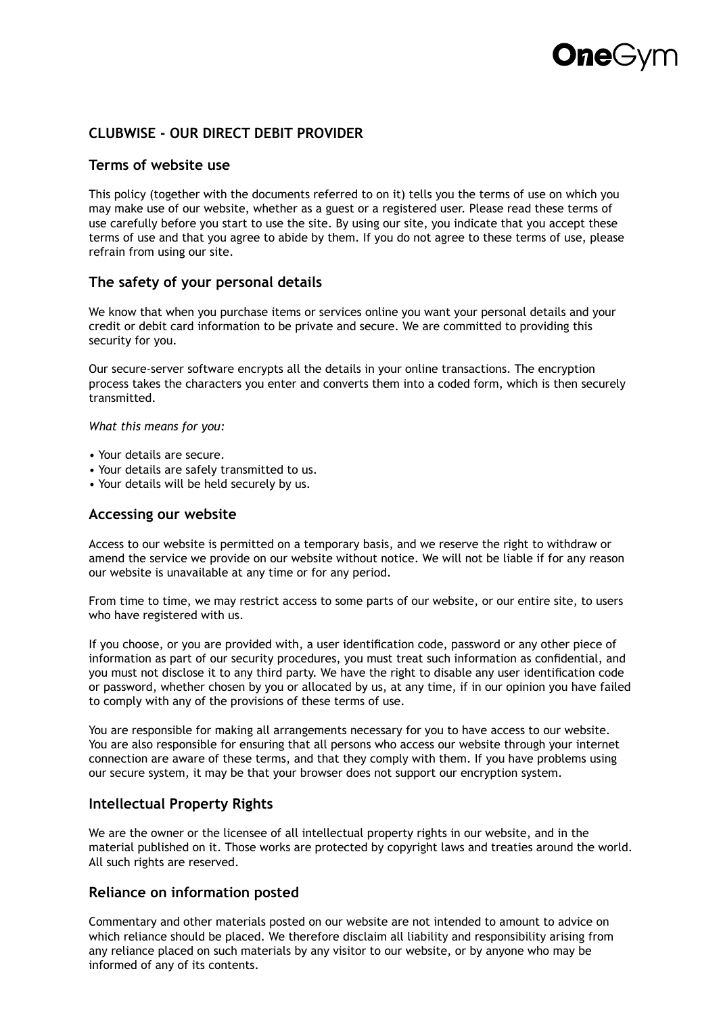## **CLUBWISE - OUR DIRECT DEBIT PROVIDER**

#### **Terms of website use**

This policy (together with the documents referred to on it) tells you the terms of use on which you may make use of our website, whether as a guest or a registered user. Please read these terms of use carefully before you start to use the site. By using our site, you indicate that you accept these terms of use and that you agree to abide by them. If you do not agree to these terms of use, please refrain from using our site.

#### **The safety of your personal details**

We know that when you purchase items or services online you want your personal details and your credit or debit card information to be private and secure. We are committed to providing this security for you.

Our secure-server software encrypts all the details in your online transactions. The encryption process takes the characters you enter and converts them into a coded form, which is then securely transmitted.

*What this means for you:*

- Your details are secure.
- Your details are safely transmitted to us.
- Your details will be held securely by us.

#### **Accessing our website**

Access to our website is permitted on a temporary basis, and we reserve the right to withdraw or amend the service we provide on our website without notice. We will not be liable if for any reason our website is unavailable at any time or for any period.

From time to time, we may restrict access to some parts of our website, or our entire site, to users who have registered with us.

If you choose, or you are provided with, a user identification code, password or any other piece of information as part of our security procedures, you must treat such information as confidential, and you must not disclose it to any third party. We have the right to disable any user identification code or password, whether chosen by you or allocated by us, at any time, if in our opinion you have failed to comply with any of the provisions of these terms of use.

You are responsible for making all arrangements necessary for you to have access to our website. You are also responsible for ensuring that all persons who access our website through your internet connection are aware of these terms, and that they comply with them. If you have problems using our secure system, it may be that your browser does not support our encryption system.

#### **Intellectual Property Rights**

We are the owner or the licensee of all intellectual property rights in our website, and in the material published on it. Those works are protected by copyright laws and treaties around the world. All such rights are reserved.

#### **Reliance on information posted**

Commentary and other materials posted on our website are not intended to amount to advice on which reliance should be placed. We therefore disclaim all liability and responsibility arising from any reliance placed on such materials by any visitor to our website, or by anyone who may be informed of any of its contents.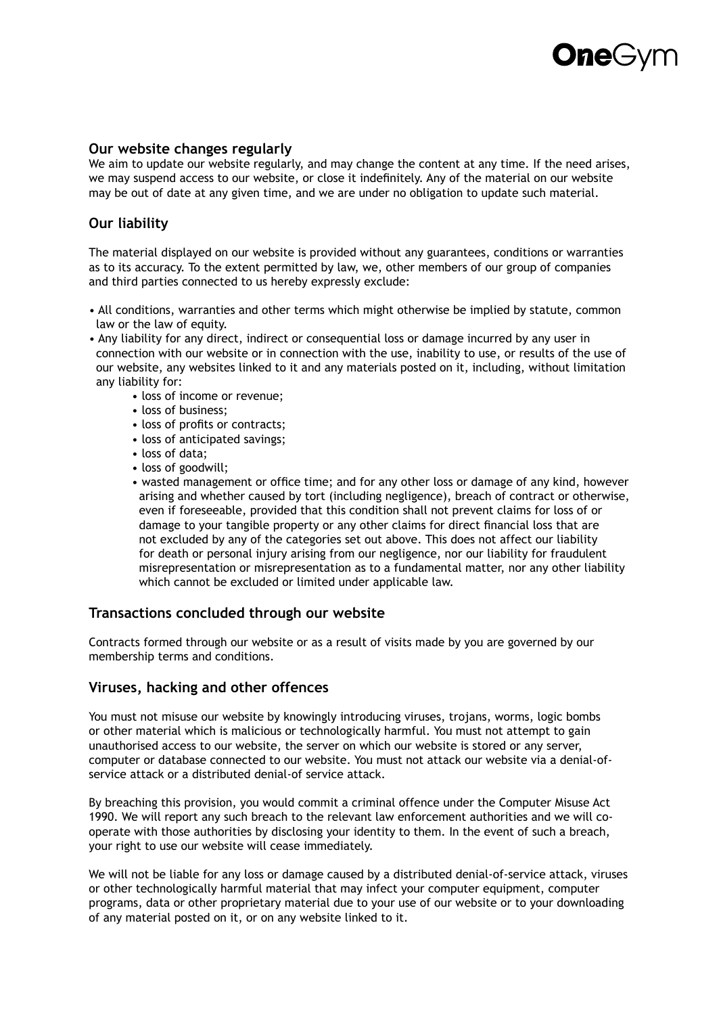## **Dne**G

#### **Our website changes regularly**

We aim to update our website regularly, and may change the content at any time. If the need arises, we may suspend access to our website, or close it indefinitely. Any of the material on our website may be out of date at any given time, and we are under no obligation to update such material.

### **Our liability**

The material displayed on our website is provided without any guarantees, conditions or warranties as to its accuracy. To the extent permitted by law, we, other members of our group of companies and third parties connected to us hereby expressly exclude:

- All conditions, warranties and other terms which might otherwise be implied by statute, common law or the law of equity.
- Any liability for any direct, indirect or consequential loss or damage incurred by any user in connection with our website or in connection with the use, inability to use, or results of the use of our website, any websites linked to it and any materials posted on it, including, without limitation any liability for:
	- loss of income or revenue;
	- loss of business;
	- loss of profits or contracts;
	- loss of anticipated savings;
	- loss of data;
	- loss of goodwill;
	- wasted management or office time; and for any other loss or damage of any kind, however arising and whether caused by tort (including negligence), breach of contract or otherwise, even if foreseeable, provided that this condition shall not prevent claims for loss of or damage to your tangible property or any other claims for direct financial loss that are not excluded by any of the categories set out above. This does not affect our liability for death or personal injury arising from our negligence, nor our liability for fraudulent misrepresentation or misrepresentation as to a fundamental matter, nor any other liability which cannot be excluded or limited under applicable law.

#### **Transactions concluded through our website**

Contracts formed through our website or as a result of visits made by you are governed by our membership terms and conditions.

#### **Viruses, hacking and other offences**

You must not misuse our website by knowingly introducing viruses, trojans, worms, logic bombs or other material which is malicious or technologically harmful. You must not attempt to gain unauthorised access to our website, the server on which our website is stored or any server, computer or database connected to our website. You must not attack our website via a denial-ofservice attack or a distributed denial-of service attack.

By breaching this provision, you would commit a criminal offence under the Computer Misuse Act 1990. We will report any such breach to the relevant law enforcement authorities and we will cooperate with those authorities by disclosing your identity to them. In the event of such a breach, your right to use our website will cease immediately.

We will not be liable for any loss or damage caused by a distributed denial-of-service attack, viruses or other technologically harmful material that may infect your computer equipment, computer programs, data or other proprietary material due to your use of our website or to your downloading of any material posted on it, or on any website linked to it.